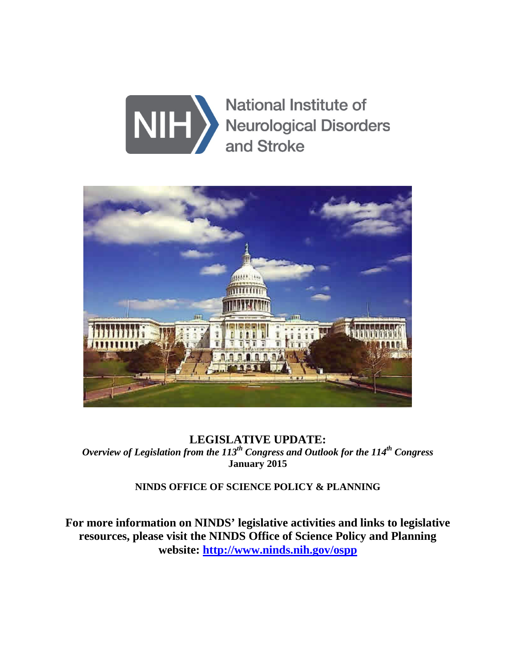



**LEGISLATIVE UPDATE:**  *Overview of Legislation from the 113<sup>th</sup> Congress and Outlook for the 114<sup>th</sup> Congress* **January 2015** 

**NINDS OFFICE OF SCIENCE POLICY & PLANNING**

**For more information on NINDS' legislative activities and links to legislative resources, please visit the NINDS Office of Science Policy and Planning website: [http://www.ninds.nih.gov/ospp](http://www.ninds.nih.gov/find_people/ninds/OSPP/OSPP.htm)**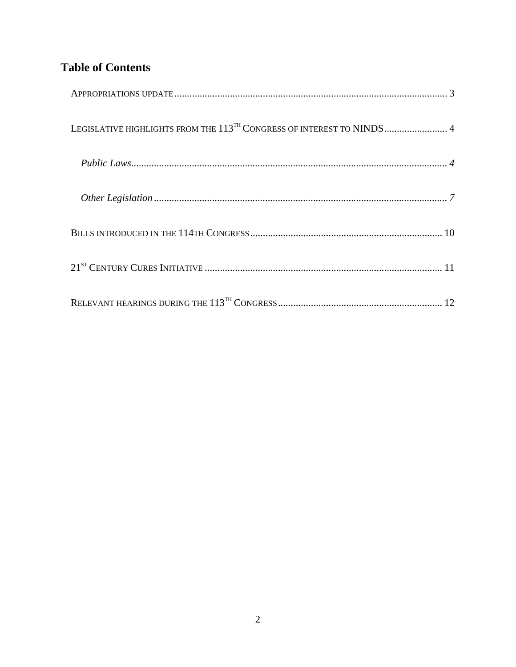# **Table of Contents**

| LEGISLATIVE HIGHLIGHTS FROM THE 113 <sup>TH</sup> CONGRESS OF INTEREST TO NINDS 4 |
|-----------------------------------------------------------------------------------|
|                                                                                   |
|                                                                                   |
|                                                                                   |
|                                                                                   |
|                                                                                   |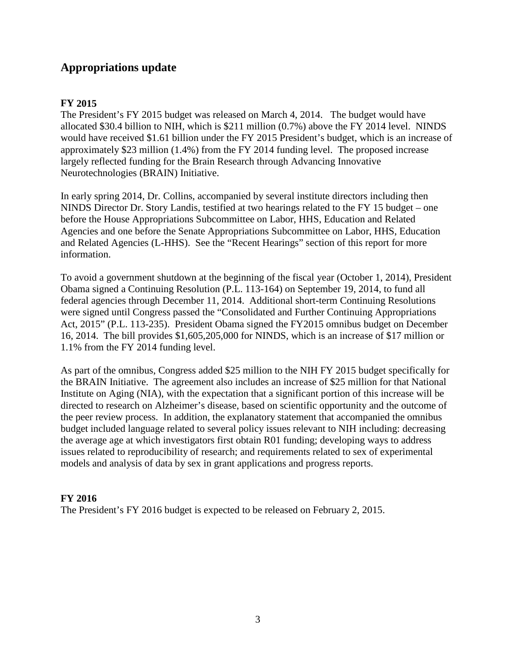### <span id="page-2-0"></span>**Appropriations update**

#### **FY 2015**

The President's FY 2015 budget was released on March 4, 2014. The budget would have allocated \$30.4 billion to NIH, which is \$211 million (0.7%) above the FY 2014 level. NINDS would have received \$1.61 billion under the FY 2015 President's budget, which is an increase of approximately \$23 million (1.4%) from the FY 2014 funding level. The proposed increase largely reflected funding for the Brain Research through Advancing Innovative Neurotechnologies (BRAIN) Initiative.

In early spring 2014, Dr. Collins, accompanied by several institute directors including then NINDS Director Dr. Story Landis, testified at two hearings related to the FY 15 budget – one before the House Appropriations Subcommittee on Labor, HHS, Education and Related Agencies and one before the Senate Appropriations Subcommittee on Labor, HHS, Education and Related Agencies (L-HHS). See the "Recent Hearings" section of this report for more information.

To avoid a government shutdown at the beginning of the fiscal year (October 1, 2014), President Obama signed a Continuing Resolution (P.L. 113-164) on September 19, 2014, to fund all federal agencies through December 11, 2014. Additional short-term Continuing Resolutions were signed until Congress passed the "Consolidated and Further Continuing Appropriations Act, 2015" (P.L. 113-235). President Obama signed the FY2015 omnibus budget on December 16, 2014. The bill provides \$1,605,205,000 for NINDS, which is an increase of \$17 million or 1.1% from the FY 2014 funding level.

As part of the omnibus, Congress added \$25 million to the NIH FY 2015 budget specifically for the BRAIN Initiative. The agreement also includes an increase of \$25 million for that National Institute on Aging (NIA), with the expectation that a significant portion of this increase will be directed to research on Alzheimer's disease, based on scientific opportunity and the outcome of the peer review process. In addition, the explanatory statement that accompanied the omnibus budget included language related to several policy issues relevant to NIH including: decreasing the average age at which investigators first obtain R01 funding; developing ways to address issues related to reproducibility of research; and requirements related to sex of experimental models and analysis of data by sex in grant applications and progress reports.

#### **FY 2016**

The President's FY 2016 budget is expected to be released on February 2, 2015.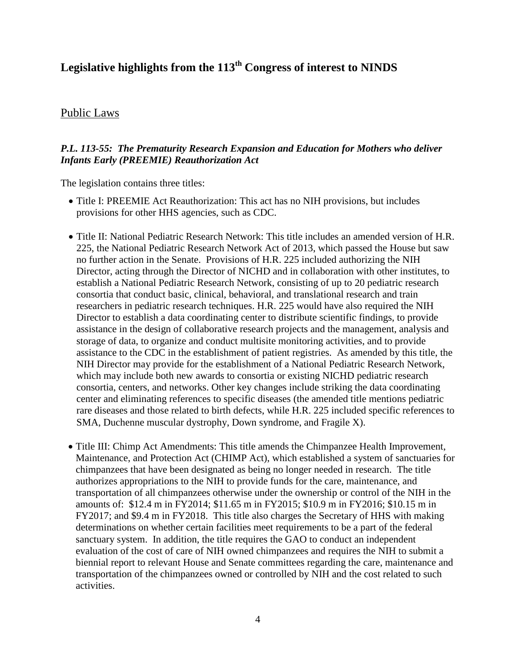## <span id="page-3-0"></span>**Legislative highlights from the 113th Congress of interest to NINDS**

#### <span id="page-3-1"></span>Public Laws

#### *P.L. 113-55: The Prematurity Research Expansion and Education for Mothers who deliver Infants Early (PREEMIE) Reauthorization Act*

The legislation contains three titles:

- Title I: PREEMIE Act Reauthorization: This act has no NIH provisions, but includes provisions for other HHS agencies, such as CDC.
- Title II: National Pediatric Research Network: This title includes an amended version of H.R. 225, the National Pediatric Research Network Act of 2013, which passed the House but saw no further action in the Senate. Provisions of H.R. 225 included authorizing the NIH Director, acting through the Director of NICHD and in collaboration with other institutes, to establish a National Pediatric Research Network, consisting of up to 20 pediatric research consortia that conduct basic, clinical, behavioral, and translational research and train researchers in pediatric research techniques. H.R. 225 would have also required the NIH Director to establish a data coordinating center to distribute scientific findings, to provide assistance in the design of collaborative research projects and the management, analysis and storage of data, to organize and conduct multisite monitoring activities, and to provide assistance to the CDC in the establishment of patient registries. As amended by this title, the NIH Director may provide for the establishment of a National Pediatric Research Network, which may include both new awards to consortia or existing NICHD pediatric research consortia, centers, and networks. Other key changes include striking the data coordinating center and eliminating references to specific diseases (the amended title mentions pediatric rare diseases and those related to birth defects, while H.R. 225 included specific references to SMA, Duchenne muscular dystrophy, Down syndrome, and Fragile X).
- Title III: Chimp Act Amendments: This title amends the Chimpanzee Health Improvement, Maintenance, and Protection Act (CHIMP Act), which established a system of sanctuaries for chimpanzees that have been designated as being no longer needed in research. The title authorizes appropriations to the NIH to provide funds for the care, maintenance, and transportation of all chimpanzees otherwise under the ownership or control of the NIH in the amounts of: \$12.4 m in FY2014; \$11.65 m in FY2015; \$10.9 m in FY2016; \$10.15 m in FY2017; and \$9.4 m in FY2018. This title also charges the Secretary of HHS with making determinations on whether certain facilities meet requirements to be a part of the federal sanctuary system. In addition, the title requires the GAO to conduct an independent evaluation of the cost of care of NIH owned chimpanzees and requires the NIH to submit a biennial report to relevant House and Senate committees regarding the care, maintenance and transportation of the chimpanzees owned or controlled by NIH and the cost related to such activities.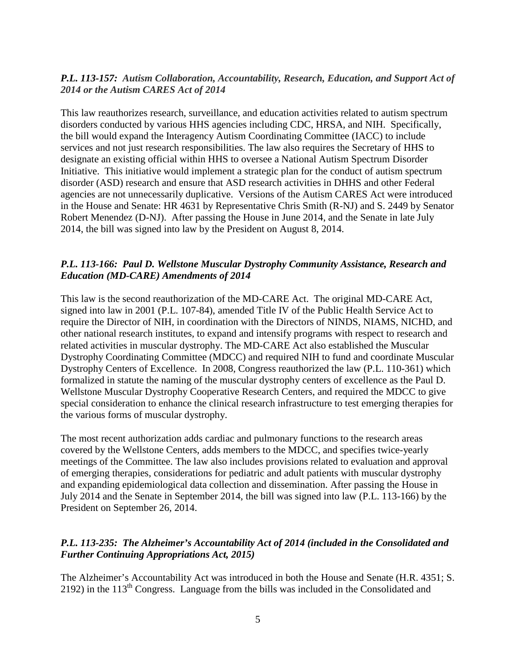#### *P.L. 113-157: Autism Collaboration, Accountability, Research, Education, and Support Act of 2014 or the Autism CARES Act of 2014*

This law reauthorizes research, surveillance, and education activities related to autism spectrum disorders conducted by various HHS agencies including CDC, HRSA, and NIH. Specifically, the bill would expand the Interagency Autism Coordinating Committee (IACC) to include services and not just research responsibilities. The law also requires the Secretary of HHS to designate an existing official within HHS to oversee a National Autism Spectrum Disorder Initiative. This initiative would implement a strategic plan for the conduct of autism spectrum disorder (ASD) research and ensure that ASD research activities in DHHS and other Federal agencies are not unnecessarily duplicative. Versions of the Autism CARES Act were introduced in the House and Senate: HR 4631 by Representative Chris Smith (R-NJ) and S. 2449 by Senator Robert Menendez (D-NJ). After passing the House in June 2014, and the Senate in late July 2014, the bill was signed into law by the President on August 8, 2014.

#### *P.L. 113-166: Paul D. Wellstone Muscular Dystrophy Community Assistance, Research and Education (MD-CARE) Amendments of 2014*

This law is the second reauthorization of the MD-CARE Act. The original MD-CARE Act, signed into law in 2001 (P.L. 107-84), amended Title IV of the Public Health Service Act to require the Director of NIH, in coordination with the Directors of NINDS, NIAMS, NICHD, and other national research institutes, to expand and intensify programs with respect to research and related activities in muscular dystrophy. The MD-CARE Act also established the Muscular Dystrophy Coordinating Committee (MDCC) and required NIH to fund and coordinate Muscular Dystrophy Centers of Excellence. In 2008, Congress reauthorized the law (P.L. 110-361) which formalized in statute the naming of the muscular dystrophy centers of excellence as the Paul D. Wellstone Muscular Dystrophy Cooperative Research Centers, and required the MDCC to give special consideration to enhance the clinical research infrastructure to test emerging therapies for the various forms of muscular dystrophy.

The most recent authorization adds cardiac and pulmonary functions to the research areas covered by the Wellstone Centers, adds members to the MDCC, and specifies twice-yearly meetings of the Committee. The law also includes provisions related to evaluation and approval of emerging therapies, considerations for pediatric and adult patients with muscular dystrophy and expanding epidemiological data collection and dissemination. After passing the House in July 2014 and the Senate in September 2014, the bill was signed into law (P.L. 113-166) by the President on September 26, 2014.

#### *P.L. 113-235: The Alzheimer's Accountability Act of 2014 (included in the Consolidated and Further Continuing Appropriations Act, 2015)*

The Alzheimer's Accountability Act was introduced in both the House and Senate (H.R. 4351; S.  $2192$ ) in the  $113<sup>th</sup>$  Congress. Language from the bills was included in the Consolidated and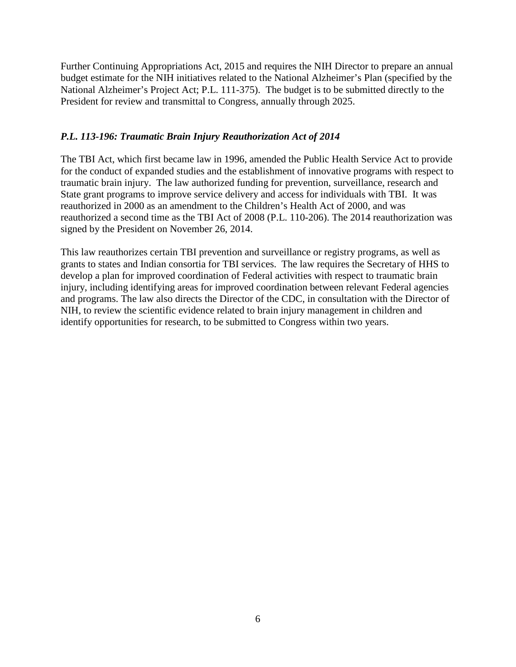Further Continuing Appropriations Act, 2015 and requires the NIH Director to prepare an annual budget estimate for the NIH initiatives related to the National Alzheimer's Plan (specified by the National Alzheimer's Project Act; P.L. 111-375). The budget is to be submitted directly to the President for review and transmittal to Congress, annually through 2025.

#### *P.L. 113-196: Traumatic Brain Injury Reauthorization Act of 2014*

The TBI Act, which first became law in 1996, amended the Public Health Service Act to provide for the conduct of expanded studies and the establishment of innovative programs with respect to traumatic brain injury. The law authorized funding for prevention, surveillance, research and State grant programs to improve service delivery and access for individuals with TBI. It was reauthorized in 2000 as an amendment to the Children's Health Act of 2000, and was reauthorized a second time as the TBI Act of 2008 (P.L. 110-206). The 2014 reauthorization was signed by the President on November 26, 2014.

This law reauthorizes certain TBI prevention and surveillance or registry programs, as well as grants to states and Indian consortia for TBI services. The law requires the Secretary of HHS to develop a plan for improved coordination of Federal activities with respect to traumatic brain injury, including identifying areas for improved coordination between relevant Federal agencies and programs. The law also directs the Director of the CDC, in consultation with the Director of NIH, to review the scientific evidence related to brain injury management in children and identify opportunities for research, to be submitted to Congress within two years.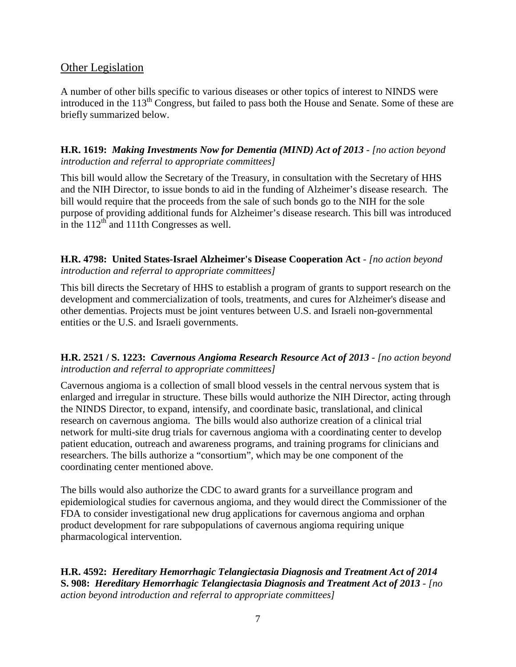#### <span id="page-6-0"></span>Other Legislation

A number of other bills specific to various diseases or other topics of interest to NINDS were introduced in the 113<sup>th</sup> Congress, but failed to pass both the House and Senate. Some of these are briefly summarized below.

**H.R. 1619:** *Making Investments Now for Dementia (MIND) Act of 2013 - [no action beyond introduction and referral to appropriate committees]*

This bill would allow the Secretary of the Treasury, in consultation with the Secretary of HHS and the NIH Director, to issue bonds to aid in the funding of Alzheimer's disease research. The bill would require that the proceeds from the sale of such bonds go to the NIH for the sole purpose of providing additional funds for Alzheimer's disease research. This bill was introduced in the  $112<sup>th</sup>$  and 111th Congresses as well.

**H.R. 4798: United States-Israel Alzheimer's Disease Cooperation Act** *- [no action beyond introduction and referral to appropriate committees]*

This bill directs the Secretary of HHS to establish a program of grants to support research on the development and commercialization of tools, treatments, and cures for Alzheimer's disease and other dementias. Projects must be joint ventures between U.S. and Israeli non-governmental entities or the U.S. and Israeli governments.

#### **H.R. 2521 / S. 1223:** *Cavernous Angioma Research Resource Act of 2013 - [no action beyond introduction and referral to appropriate committees]*

Cavernous angioma is a collection of small blood vessels in the central nervous system that is enlarged and irregular in structure. These bills would authorize the NIH Director, acting through the NINDS Director, to expand, intensify, and coordinate basic, translational, and clinical research on cavernous angioma. The bills would also authorize creation of a clinical trial network for multi-site drug trials for cavernous angioma with a coordinating center to develop patient education, outreach and awareness programs, and training programs for clinicians and researchers. The bills authorize a "consortium", which may be one component of the coordinating center mentioned above.

The bills would also authorize the CDC to award grants for a surveillance program and epidemiological studies for cavernous angioma, and they would direct the Commissioner of the FDA to consider investigational new drug applications for cavernous angioma and orphan product development for rare subpopulations of cavernous angioma requiring unique pharmacological intervention.

**H.R. 4592:** *Hereditary Hemorrhagic Telangiectasia Diagnosis and Treatment Act of 2014* **S. 908:** *Hereditary Hemorrhagic Telangiectasia Diagnosis and Treatment Act of 2013 - [no action beyond introduction and referral to appropriate committees]*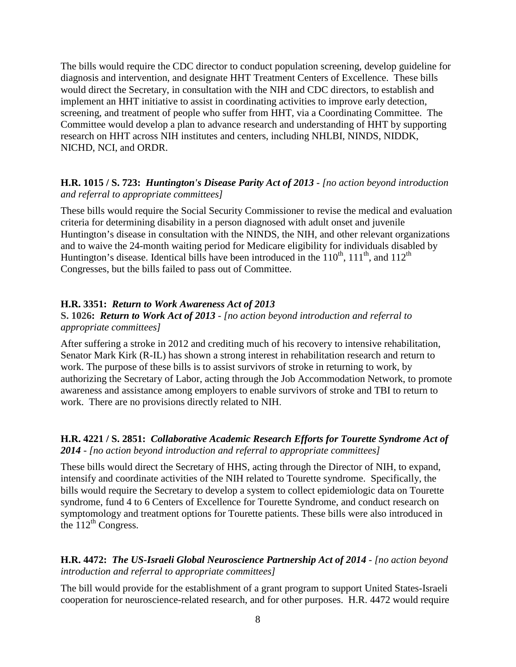The bills would require the CDC director to conduct population screening, develop guideline for diagnosis and intervention, and designate HHT Treatment Centers of Excellence. These bills would direct the Secretary, in consultation with the NIH and CDC directors, to establish and implement an HHT initiative to assist in coordinating activities to improve early detection, screening, and treatment of people who suffer from HHT, via a Coordinating Committee. The Committee would develop a plan to advance research and understanding of HHT by supporting research on HHT across NIH institutes and centers, including NHLBI, NINDS, NIDDK, NICHD, NCI, and ORDR.

#### **H.R. 1015 / S. 723:** *Huntington's Disease Parity Act of 2013 - [no action beyond introduction and referral to appropriate committees]*

These bills would require the Social Security Commissioner to revise the medical and evaluation criteria for determining disability in a person diagnosed with adult onset and juvenile Huntington's disease in consultation with the NINDS, the NIH, and other relevant organizations and to waive the 24-month waiting period for Medicare eligibility for individuals disabled by Huntington's disease. Identical bills have been introduced in the  $110^{th}$ ,  $111^{th}$ , and  $112^{th}$ Congresses, but the bills failed to pass out of Committee.

#### **H.R. 3351:** *Return to Work Awareness Act of 2013*

#### **S. 1026:** *Return to Work Act of 2013 - [no action beyond introduction and referral to appropriate committees]*

After suffering a stroke in 2012 and crediting much of his recovery to intensive rehabilitation, Senator Mark Kirk (R-IL) has shown a strong interest in rehabilitation research and return to work. The purpose of these bills is to assist survivors of stroke in returning to work, by authorizing the Secretary of Labor, acting through the Job Accommodation Network, to promote awareness and assistance among employers to enable survivors of stroke and TBI to return to work. There are no provisions directly related to NIH.

#### **H.R. 4221 / S. 2851:** *Collaborative Academic Research Efforts for Tourette Syndrome Act of 2014 - [no action beyond introduction and referral to appropriate committees]*

These bills would direct the Secretary of HHS, acting through the Director of NIH, to expand, intensify and coordinate activities of the NIH related to Tourette syndrome. Specifically, the bills would require the Secretary to develop a system to collect epidemiologic data on Tourette syndrome, fund 4 to 6 Centers of Excellence for Tourette Syndrome, and conduct research on symptomology and treatment options for Tourette patients. These bills were also introduced in the  $112^{th}$  Congress.

#### **H.R. 4472:** *The US-Israeli Global Neuroscience Partnership Act of 2014 - [no action beyond introduction and referral to appropriate committees]*

The bill would provide for the establishment of a grant program to support United States-Israeli cooperation for neuroscience-related research, and for other purposes. H.R. 4472 would require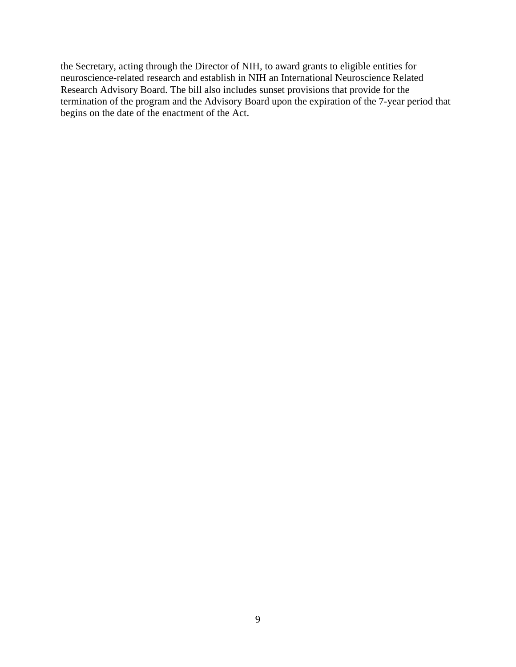the Secretary, acting through the Director of NIH, to award grants to eligible entities for neuroscience-related research and establish in NIH an International Neuroscience Related Research Advisory Board. The bill also includes sunset provisions that provide for the termination of the program and the Advisory Board upon the expiration of the 7-year period that begins on the date of the enactment of the Act.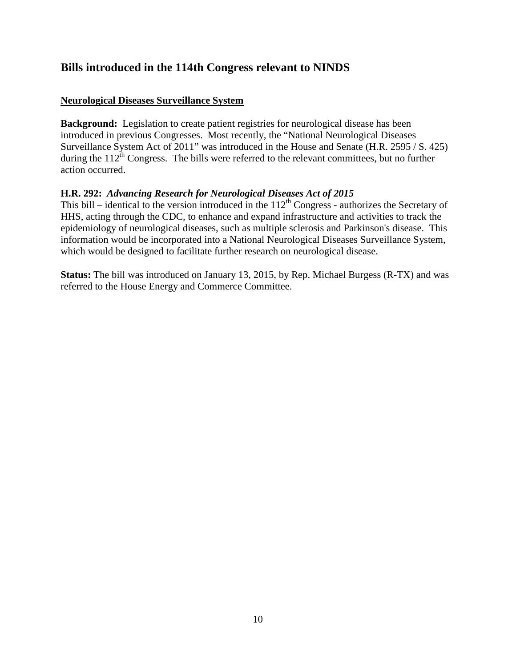### <span id="page-9-0"></span>**Bills introduced in the 114th Congress relevant to NINDS**

#### **Neurological Diseases Surveillance System**

**Background:** Legislation to create patient registries for neurological disease has been introduced in previous Congresses. Most recently, the "National Neurological Diseases Surveillance System Act of 2011" was introduced in the House and Senate (H.R. 2595 / S. 425) during the  $112^{th}$  Congress. The bills were referred to the relevant committees, but no further action occurred.

#### **H.R. 292:** *Advancing Research for Neurological Diseases Act of 2015*

This bill – identical to the version introduced in the  $112<sup>th</sup>$  Congress - authorizes the Secretary of HHS, acting through the CDC, to enhance and expand infrastructure and activities to track the epidemiology of neurological diseases, such as multiple sclerosis and Parkinson's disease. This information would be incorporated into a National Neurological Diseases Surveillance System, which would be designed to facilitate further research on neurological disease.

**Status:** The bill was introduced on January 13, 2015, by Rep. Michael Burgess (R-TX) and was referred to the House Energy and Commerce Committee.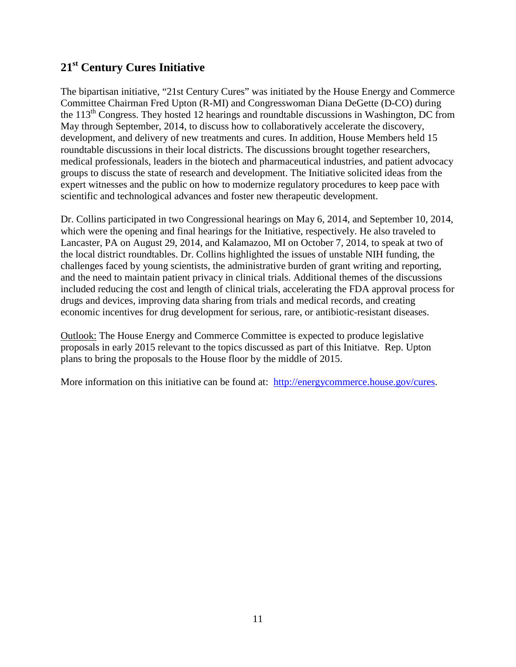## <span id="page-10-0"></span>**21st Century Cures Initiative**

The bipartisan initiative, "21st Century Cures" was initiated by the House Energy and Commerce Committee Chairman Fred Upton (R-MI) and Congresswoman Diana DeGette (D-CO) during the  $113<sup>th</sup>$  Congress. They hosted 12 hearings and roundtable discussions in Washington, DC from May through September, 2014, to discuss how to collaboratively accelerate the discovery, development, and delivery of new treatments and cures. In addition, House Members held 15 roundtable discussions in their local districts. The discussions brought together researchers, medical professionals, leaders in the biotech and pharmaceutical industries, and patient advocacy groups to discuss the state of research and development. The Initiative solicited ideas from the expert witnesses and the public on how to modernize regulatory procedures to keep pace with scientific and technological advances and foster new therapeutic development.

Dr. Collins participated in two Congressional hearings on May 6, 2014, and September 10, 2014, which were the opening and final hearings for the Initiative, respectively. He also traveled to Lancaster, PA on August 29, 2014, and Kalamazoo, MI on October 7, 2014, to speak at two of the local district roundtables. Dr. Collins highlighted the issues of unstable NIH funding, the challenges faced by young scientists, the administrative burden of grant writing and reporting, and the need to maintain patient privacy in clinical trials. Additional themes of the discussions included reducing the cost and length of clinical trials, accelerating the FDA approval process for drugs and devices, improving data sharing from trials and medical records, and creating economic incentives for drug development for serious, rare, or antibiotic-resistant diseases.

Outlook: The House Energy and Commerce Committee is expected to produce legislative proposals in early 2015 relevant to the topics discussed as part of this Initiatve. Rep. Upton plans to bring the proposals to the House floor by the middle of 2015.

More information on this initiative can be found at: [http://energycommerce.house.gov/cures.](http://energycommerce.house.gov/cures)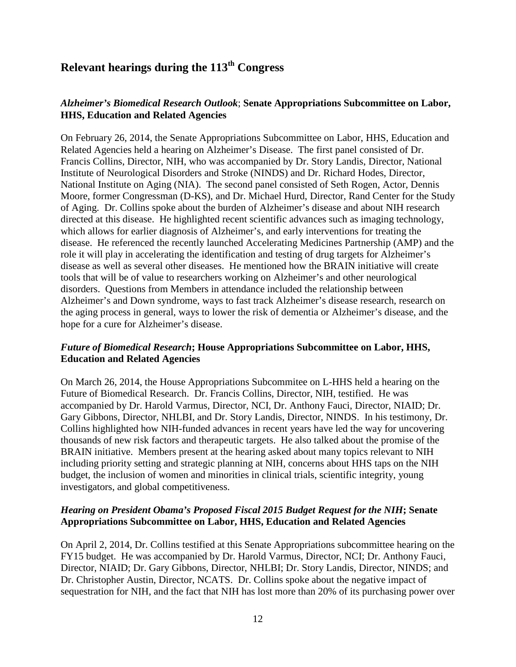## <span id="page-11-0"></span>**Relevant hearings during the 113th Congress**

#### *Alzheimer's Biomedical Research Outlook*; **Senate Appropriations Subcommittee on Labor, HHS, Education and Related Agencies**

On February 26, 2014, the Senate Appropriations Subcommittee on Labor, HHS, Education and Related Agencies held a hearing on Alzheimer's Disease. The first panel consisted of Dr. Francis Collins, Director, NIH, who was accompanied by Dr. Story Landis, Director, National Institute of Neurological Disorders and Stroke (NINDS) and Dr. Richard Hodes, Director, National Institute on Aging (NIA). The second panel consisted of Seth Rogen, Actor, Dennis Moore, former Congressman (D-KS), and Dr. Michael Hurd, Director, Rand Center for the Study of Aging. Dr. Collins spoke about the burden of Alzheimer's disease and about NIH research directed at this disease. He highlighted recent scientific advances such as imaging technology, which allows for earlier diagnosis of Alzheimer's, and early interventions for treating the disease. He referenced the recently launched Accelerating Medicines Partnership (AMP) and the role it will play in accelerating the identification and testing of drug targets for Alzheimer's disease as well as several other diseases. He mentioned how the BRAIN initiative will create tools that will be of value to researchers working on Alzheimer's and other neurological disorders. Questions from Members in attendance included the relationship between Alzheimer's and Down syndrome, ways to fast track Alzheimer's disease research, research on the aging process in general, ways to lower the risk of dementia or Alzheimer's disease, and the hope for a cure for Alzheimer's disease.

#### *Future of Biomedical Research***; House Appropriations Subcommittee on Labor, HHS, Education and Related Agencies**

On March 26, 2014, the House Appropriations Subcommitee on L-HHS held a hearing on the Future of Biomedical Research. Dr. Francis Collins, Director, NIH, testified. He was accompanied by Dr. Harold Varmus, Director, NCI, Dr. Anthony Fauci, Director, NIAID; Dr. Gary Gibbons, Director, NHLBI, and Dr. Story Landis, Director, NINDS. In his testimony, Dr. Collins highlighted how NIH-funded advances in recent years have led the way for uncovering thousands of new risk factors and therapeutic targets. He also talked about the promise of the BRAIN initiative. Members present at the hearing asked about many topics relevant to NIH including priority setting and strategic planning at NIH, concerns about HHS taps on the NIH budget, the inclusion of women and minorities in clinical trials, scientific integrity, young investigators, and global competitiveness.

#### *Hearing on President Obama's Proposed Fiscal 2015 Budget Request for the NIH***; Senate Appropriations Subcommittee on Labor, HHS, Education and Related Agencies**

On April 2, 2014, Dr. Collins testified at this Senate Appropriations subcommittee hearing on the FY15 budget. He was accompanied by Dr. Harold Varmus, Director, NCI; Dr. Anthony Fauci, Director, NIAID; Dr. Gary Gibbons, Director, NHLBI; Dr. Story Landis, Director, NINDS; and Dr. Christopher Austin, Director, NCATS. Dr. Collins spoke about the negative impact of sequestration for NIH, and the fact that NIH has lost more than 20% of its purchasing power over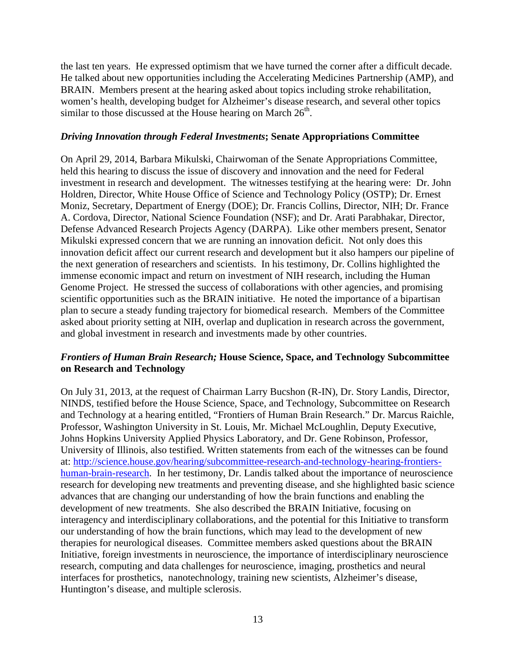the last ten years. He expressed optimism that we have turned the corner after a difficult decade. He talked about new opportunities including the Accelerating Medicines Partnership (AMP), and BRAIN. Members present at the hearing asked about topics including stroke rehabilitation, women's health, developing budget for Alzheimer's disease research, and several other topics similar to those discussed at the House hearing on March  $26<sup>th</sup>$ .

#### *Driving Innovation through Federal Investments***; Senate Appropriations Committee**

On April 29, 2014, Barbara Mikulski, Chairwoman of the Senate Appropriations Committee, held this hearing to discuss the issue of discovery and innovation and the need for Federal investment in research and development. The witnesses testifying at the hearing were: Dr. John Holdren, Director, White House Office of Science and Technology Policy (OSTP); Dr. Ernest Moniz, Secretary, Department of Energy (DOE); Dr. Francis Collins, Director, NIH; Dr. France A. Cordova, Director, National Science Foundation (NSF); and Dr. Arati Parabhakar, Director, Defense Advanced Research Projects Agency (DARPA). Like other members present, Senator Mikulski expressed concern that we are running an innovation deficit. Not only does this innovation deficit affect our current research and development but it also hampers our pipeline of the next generation of researchers and scientists. In his testimony, Dr. Collins highlighted the immense economic impact and return on investment of NIH research, including the Human Genome Project. He stressed the success of collaborations with other agencies, and promising scientific opportunities such as the BRAIN initiative. He noted the importance of a bipartisan plan to secure a steady funding trajectory for biomedical research. Members of the Committee asked about priority setting at NIH, overlap and duplication in research across the government, and global investment in research and investments made by other countries.

#### *Frontiers of Human Brain Research;* **House Science, Space, and Technology Subcommittee on Research and Technology**

On July 31, 2013, at the request of Chairman Larry Bucshon (R-IN), Dr. Story Landis, Director, NINDS, testified before the House Science, Space, and Technology, Subcommittee on Research and Technology at a hearing entitled, "Frontiers of Human Brain Research." Dr. Marcus Raichle, Professor, Washington University in St. Louis, Mr. Michael McLoughlin, Deputy Executive, Johns Hopkins University Applied Physics Laboratory, and Dr. Gene Robinson, Professor, University of Illinois, also testified. Written statements from each of the witnesses can be found at: [http://science.house.gov/hearing/subcommittee-research-and-technology-hearing-frontiers](http://science.house.gov/hearing/subcommittee-research-and-technology-hearing-frontiers-human-brain-research)[human-brain-research.](http://science.house.gov/hearing/subcommittee-research-and-technology-hearing-frontiers-human-brain-research) In her testimony, Dr. Landis talked about the importance of neuroscience research for developing new treatments and preventing disease, and she highlighted basic science advances that are changing our understanding of how the brain functions and enabling the development of new treatments. She also described the BRAIN Initiative, focusing on interagency and interdisciplinary collaborations, and the potential for this Initiative to transform our understanding of how the brain functions, which may lead to the development of new therapies for neurological diseases. Committee members asked questions about the BRAIN Initiative, foreign investments in neuroscience, the importance of interdisciplinary neuroscience research, computing and data challenges for neuroscience, imaging, prosthetics and neural interfaces for prosthetics, nanotechnology, training new scientists, Alzheimer's disease, Huntington's disease, and multiple sclerosis.